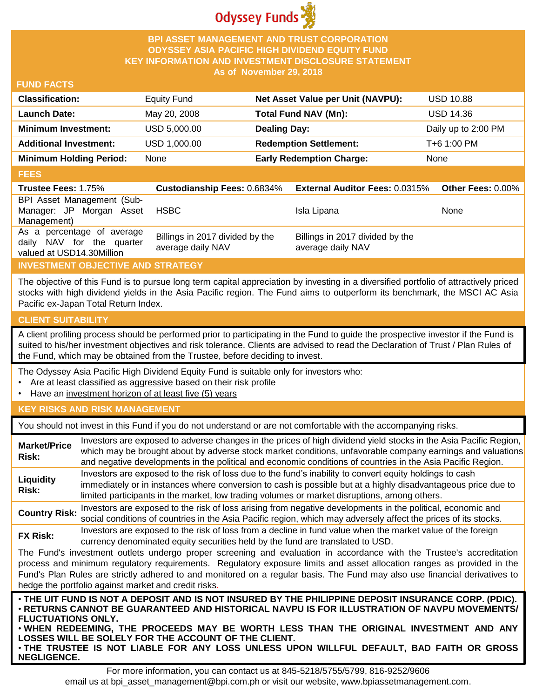

## **BPI ASSET MANAGEMENT AND TRUST CORPORATION ODYSSEY ASIA PACIFIC HIGH DIVIDEND EQUITY FUND KEY INFORMATION AND INVESTMENT DISCLOSURE STATEMENT As of November 29, 2018**

## **FUND FACTS**

| <b>Classification:</b>         | <b>Equity Fund</b> | Net Asset Value per Unit (NAVPU): | <b>USD 10.88</b>    |
|--------------------------------|--------------------|-----------------------------------|---------------------|
| <b>Launch Date:</b>            | May 20, 2008       | Total Fund NAV (Mn):              | <b>USD 14.36</b>    |
| <b>Minimum Investment:</b>     | USD 5,000.00       | <b>Dealing Day:</b>               | Daily up to 2:00 PM |
| <b>Additional Investment:</b>  | USD 1,000.00       | <b>Redemption Settlement:</b>     | T+6 1:00 PM         |
| <b>Minimum Holding Period:</b> | None               | <b>Early Redemption Charge:</b>   | None                |

#### **FEES**

| -----                                                                                |                                                      |                                                      |                          |
|--------------------------------------------------------------------------------------|------------------------------------------------------|------------------------------------------------------|--------------------------|
| <b>Trustee Fees: 1.75%</b>                                                           | <b>Custodianship Fees: 0.6834%</b>                   | <b>External Auditor Fees: 0.0315%</b>                | <b>Other Fees: 0.00%</b> |
| BPI Asset Management (Sub-<br>Manager: JP Morgan Asset<br>Management)                | <b>HSBC</b>                                          | Isla Lipana                                          | <b>None</b>              |
| As a percentage of average<br>daily NAV for the quarter<br>valued at USD14.30Million | Billings in 2017 divided by the<br>average daily NAV | Billings in 2017 divided by the<br>average daily NAV |                          |

# **INVESTMENT OBJECTIVE AND STRATEGY**

The objective of this Fund is to pursue long term capital appreciation by investing in a diversified portfolio of attractively priced stocks with high dividend yields in the Asia Pacific region. The Fund aims to outperform its benchmark, the MSCI AC Asia Pacific ex-Japan Total Return Index.

# **CLIENT SUITABILITY**

**NEGLIGENCE.**

A client profiling process should be performed prior to participating in the Fund to guide the prospective investor if the Fund is suited to his/her investment objectives and risk tolerance. Clients are advised to read the Declaration of Trust / Plan Rules of the Fund, which may be obtained from the Trustee, before deciding to invest.

The Odyssey Asia Pacific High Dividend Equity Fund is suitable only for investors who:

- Are at least classified as aggressive based on their risk profile
- Have an investment horizon of at least five (5) years

# **KEY RISKS AND RISK MANAGEMENT**

You should not invest in this Fund if you do not understand or are not comfortable with the accompanying risks.

| <b>Market/Price</b><br>Risk:                                                                                                                                                                                                                                                                                                                                                                                                                                                  | Investors are exposed to adverse changes in the prices of high dividend yield stocks in the Asia Pacific Region,<br>which may be brought about by adverse stock market conditions, unfavorable company earnings and valuations<br>and negative developments in the political and economic conditions of countries in the Asia Pacific Region. |  |
|-------------------------------------------------------------------------------------------------------------------------------------------------------------------------------------------------------------------------------------------------------------------------------------------------------------------------------------------------------------------------------------------------------------------------------------------------------------------------------|-----------------------------------------------------------------------------------------------------------------------------------------------------------------------------------------------------------------------------------------------------------------------------------------------------------------------------------------------|--|
| Liquidity<br>Risk:                                                                                                                                                                                                                                                                                                                                                                                                                                                            | Investors are exposed to the risk of loss due to the fund's inability to convert equity holdings to cash<br>immediately or in instances where conversion to cash is possible but at a highly disadvantageous price due to<br>limited participants in the market, low trading volumes or market disruptions, among others.                     |  |
| <b>Country Risk:</b>                                                                                                                                                                                                                                                                                                                                                                                                                                                          | Investors are exposed to the risk of loss arising from negative developments in the political, economic and<br>social conditions of countries in the Asia Pacific region, which may adversely affect the prices of its stocks.                                                                                                                |  |
| <b>FX Risk:</b>                                                                                                                                                                                                                                                                                                                                                                                                                                                               | Investors are exposed to the risk of loss from a decline in fund value when the market value of the foreign<br>currency denominated equity securities held by the fund are translated to USD.                                                                                                                                                 |  |
| The Fund's investment outlets undergo proper screening and evaluation in accordance with the Trustee's accreditation<br>process and minimum regulatory requirements. Regulatory exposure limits and asset allocation ranges as provided in the<br>Fund's Plan Rules are strictly adhered to and monitored on a regular basis. The Fund may also use financial derivatives to<br>hedge the portfolio against market and credit risks.                                          |                                                                                                                                                                                                                                                                                                                                               |  |
| . THE UIT FUND IS NOT A DEPOSIT AND IS NOT INSURED BY THE PHILIPPINE DEPOSIT INSURANCE CORP. (PDIC).<br>· RETURNS CANNOT BE GUARANTEED AND HISTORICAL NAVPU IS FOR ILLUSTRATION OF NAVPU MOVEMENTS/<br><b>FLUCTUATIONS ONLY.</b><br>. WHEN REDEEMING, THE PROCEEDS MAY BE WORTH LESS THAN THE ORIGINAL INVESTMENT AND ANY<br>LOSSES WILL BE SOLELY FOR THE ACCOUNT OF THE CLIENT.<br>. THE TRUSTEE IS NOT LIABLE FOR ANY LOSS UNLESS UPON WILLFUL DEFAULT, BAD FAITH OR GROSS |                                                                                                                                                                                                                                                                                                                                               |  |

For more information, you can contact us at 845-5218/5755/5799, 816-9252/9606 email us at bpi\_asset\_management@bpi.com.ph or visit our website, www.bpiassetmanagement.com.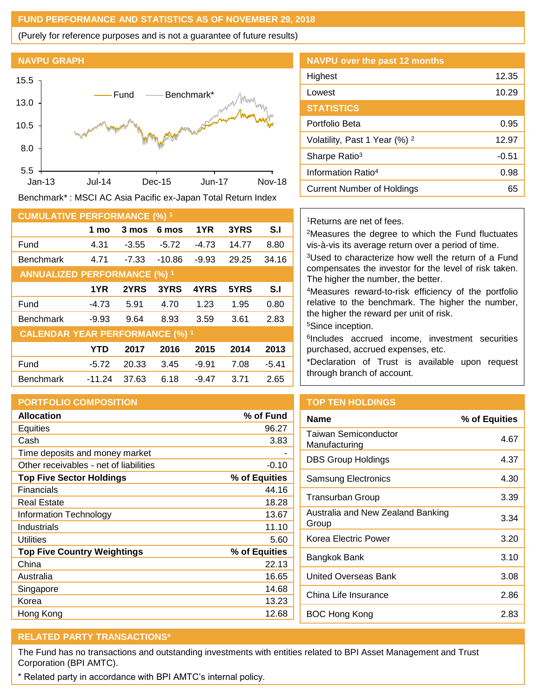## **FUND PERFORMANCE AND STATISTICS AS OF NOVEMBER 29, 2018**

(Purely for reference purposes and is not a guarantee of future results)

#### **NAVPU GRAPH**



Benchmark\* : MSCI AC Asia Pacific ex-Japan Total Return Index

| <b>CUMULATIVE PERFORMANCE (%) 1</b>    |          |         |          |         |       |         |
|----------------------------------------|----------|---------|----------|---------|-------|---------|
|                                        | 1 mo     | 3 mos   | 6 mos    | 1YR     | 3YRS  | S.I     |
| Fund                                   | 4.31     | $-3.55$ | $-5.72$  | $-4.73$ | 14.77 | 8.80    |
| <b>Benchmark</b>                       | 4.71     | $-7.33$ | $-10.86$ | $-9.93$ | 29.25 | 34.16   |
| <b>ANNUALIZED PERFORMANCE (%) 1</b>    |          |         |          |         |       |         |
|                                        | 1YR      | 2YRS    | 3YRS     | 4YRS    | 5YRS  | S.I     |
| Fund                                   | $-4.73$  | 5.91    | 4.70     | 1.23    | 1.95  | 0.80    |
| <b>Benchmark</b>                       | $-9.93$  | 9.64    | 8.93     | 3.59    | 3.61  | 2.83    |
| <b>CALENDAR YEAR PERFORMANCE (%) 1</b> |          |         |          |         |       |         |
|                                        | YTD      | 2017    | 2016     | 2015    | 2014  | 2013    |
| Fund                                   | $-5.72$  | 20.33   | 3.45     | $-9.91$ | 7.08  | $-5.41$ |
| <b>Benchmark</b>                       | $-11.24$ | 37.63   | 6.18     | $-9.47$ | 3.71  | 2.65    |

# **PORTFOLIO COMPOSITION**

| <b>Allocation</b>                      | % of Fund     |
|----------------------------------------|---------------|
| <b>Equities</b>                        | 96.27         |
| Cash                                   | 3.83          |
| Time deposits and money market         |               |
| Other receivables - net of liabilities | $-0.10$       |
| <b>Top Five Sector Holdings</b>        | % of Equities |
| Financials                             | 44.16         |
| Real Estate                            | 18.28         |
| Information Technology                 | 13.67         |
| Industrials                            | 11.10         |
| Utilities                              | 5.60          |
| <b>Top Five Country Weightings</b>     | % of Equities |
| China                                  | 22.13         |
| Australia                              | 16.65         |
| Singapore                              | 14.68         |
| Korea                                  | 13.23         |
| Hong Kong                              | 12.68         |

| <b>NAVPU over the past 12 months</b>     |         |
|------------------------------------------|---------|
| Highest                                  | 12.35   |
| Lowest                                   | 10.29   |
| <b>STATISTICS</b>                        |         |
| Portfolio Beta                           | 0.95    |
| Volatility, Past 1 Year (%) <sup>2</sup> | 12.97   |
| Sharpe Ratio <sup>3</sup>                | $-0.51$ |
| Information Ratio <sup>4</sup>           | 0.98    |
| <b>Current Number of Holdings</b>        | 65      |

## <sup>1</sup>Returns are net of fees.

<sup>2</sup>Measures the degree to which the Fund fluctuates vis-à-vis its average return over a period of time.

<sup>3</sup>Used to characterize how well the return of a Fund compensates the investor for the level of risk taken. The higher the number, the better.

<sup>4</sup>Measures reward-to-risk efficiency of the portfolio relative to the benchmark. The higher the number, the higher the reward per unit of risk.

<sup>5</sup>Since inception.

6 Includes accrued income, investment securities purchased, accrued expenses, etc.

\*Declaration of Trust is available upon request through branch of account.

# **TOP TEN HOLDINGS**

| % of Equities |
|---------------|
| 4.67          |
| 4.37          |
| 4.30          |
| 3.39          |
| 3.34          |
| 3.20          |
| 3.10          |
| 3.08          |
| 2.86          |
| 2.83          |
|               |

# **RELATED PARTY TRANSACTIONS\***

The Fund has no transactions and outstanding investments with entities related to BPI Asset Management and Trust Corporation (BPI AMTC).

\* Related party in accordance with BPI AMTC's internal policy.